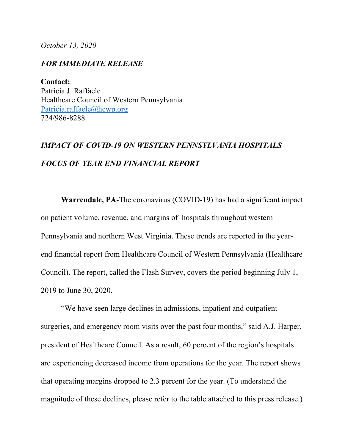*October 13, 2020*

## *FOR IMMEDIATE RELEASE*

**Contact:** Patricia J. Raffaele Healthcare Council of Western Pennsylvania Patricia.raffaele@hcwp.org 724/986-8288

## *IMPACT OF COVID-19 ON WESTERN PENNSYLVANIA HOSPITALS FOCUS OF YEAR END FINANCIAL REPORT*

**Warrendale, PA**-The coronavirus (COVID-19) has had a significant impact on patient volume, revenue, and margins of hospitals throughout western Pennsylvania and northern West Virginia. These trends are reported in the yearend financial report from Healthcare Council of Western Pennsylvania (Healthcare Council). The report, called the Flash Survey, covers the period beginning July 1, 2019 to June 30, 2020.

"We have seen large declines in admissions, inpatient and outpatient surgeries, and emergency room visits over the past four months," said A.J. Harper, president of Healthcare Council. As a result, 60 percent of the region's hospitals are experiencing decreased income from operations for the year. The report shows that operating margins dropped to 2.3 percent for the year. (To understand the magnitude of these declines, please refer to the table attached to this press release.)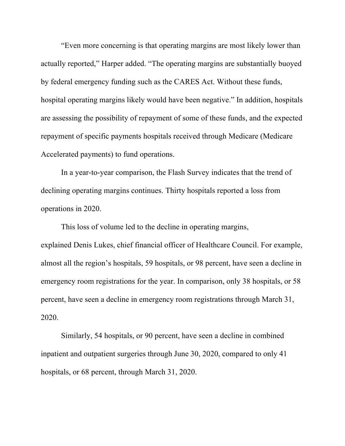"Even more concerning is that operating margins are most likely lower than actually reported," Harper added. "The operating margins are substantially buoyed by federal emergency funding such as the CARES Act. Without these funds, hospital operating margins likely would have been negative." In addition, hospitals are assessing the possibility of repayment of some of these funds, and the expected repayment of specific payments hospitals received through Medicare (Medicare Accelerated payments) to fund operations.

In a year-to-year comparison, the Flash Survey indicates that the trend of declining operating margins continues. Thirty hospitals reported a loss from operations in 2020.

This loss of volume led to the decline in operating margins, explained Denis Lukes, chief financial officer of Healthcare Council. For example, almost all the region's hospitals, 59 hospitals, or 98 percent, have seen a decline in emergency room registrations for the year. In comparison, only 38 hospitals, or 58 percent, have seen a decline in emergency room registrations through March 31, 2020.

Similarly, 54 hospitals, or 90 percent, have seen a decline in combined inpatient and outpatient surgeries through June 30, 2020, compared to only 41 hospitals, or 68 percent, through March 31, 2020.